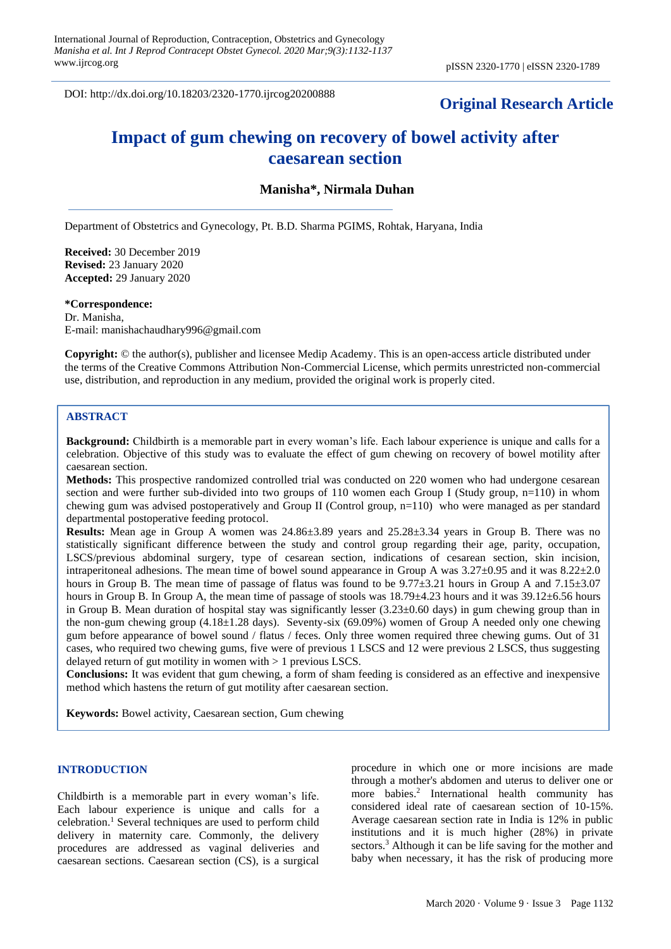DOI: http://dx.doi.org/10.18203/2320-1770.ijrcog20200888

## **Original Research Article**

# **Impact of gum chewing on recovery of bowel activity after caesarean section**

## **Manisha\*, Nirmala Duhan**

Department of Obstetrics and Gynecology, Pt. B.D. Sharma PGIMS, Rohtak, Haryana, India

**Received:** 30 December 2019 **Revised:** 23 January 2020 **Accepted:** 29 January 2020

## **\*Correspondence:**

Dr. Manisha, E-mail: manishachaudhary996@gmail.com

**Copyright:** © the author(s), publisher and licensee Medip Academy. This is an open-access article distributed under the terms of the Creative Commons Attribution Non-Commercial License, which permits unrestricted non-commercial use, distribution, and reproduction in any medium, provided the original work is properly cited.

#### **ABSTRACT**

**Background:** Childbirth is a memorable part in every woman's life. Each labour experience is unique and calls for a celebration. Objective of this study was to evaluate the effect of gum chewing on recovery of bowel motility after caesarean section.

**Methods:** This prospective randomized controlled trial was conducted on 220 women who had undergone cesarean section and were further sub-divided into two groups of 110 women each Group I (Study group, n=110) in whom chewing gum was advised postoperatively and Group II (Control group, n=110) who were managed as per standard departmental postoperative feeding protocol.

**Results:** Mean age in Group A women was 24.86±3.89 years and 25.28±3.34 years in Group B. There was no statistically significant difference between the study and control group regarding their age, parity, occupation, LSCS/previous abdominal surgery, type of cesarean section, indications of cesarean section, skin incision, intraperitoneal adhesions. The mean time of bowel sound appearance in Group A was 3.27±0.95 and it was 8.22±2.0 hours in Group B. The mean time of passage of flatus was found to be  $9.77\pm3.21$  hours in Group A and  $7.15\pm3.07$ hours in Group B. In Group A, the mean time of passage of stools was  $18.79\pm4.23$  hours and it was  $39.12\pm6.56$  hours in Group B. Mean duration of hospital stay was significantly lesser  $(3.23\pm0.60 \text{ days})$  in gum chewing group than in the non-gum chewing group (4.18±1.28 days). Seventy-six (69.09%) women of Group A needed only one chewing gum before appearance of bowel sound / flatus / feces. Only three women required three chewing gums. Out of 31 cases, who required two chewing gums, five were of previous 1 LSCS and 12 were previous 2 LSCS, thus suggesting delayed return of gut motility in women with > 1 previous LSCS.

**Conclusions:** It was evident that gum chewing, a form of sham feeding is considered as an effective and inexpensive method which hastens the return of gut motility after caesarean section.

**Keywords:** Bowel activity, Caesarean section, Gum chewing

## **INTRODUCTION**

Childbirth is a memorable part in every woman's life. Each labour experience is unique and calls for a celebration.<sup>1</sup> Several techniques are used to perform child delivery in maternity care. Commonly, the delivery procedures are addressed as vaginal deliveries and caesarean sections. Caesarean section (CS), is a surgical procedure in which one or more incisions are made through a mother's abdomen and uterus to deliver one or more babies.<sup>2</sup> International health community has considered ideal rate of caesarean section of 10-15%. Average caesarean section rate in India is 12% in public institutions and it is much higher (28%) in private sectors.<sup>3</sup> Although it can be life saving for the mother and baby when necessary, it has the risk of producing more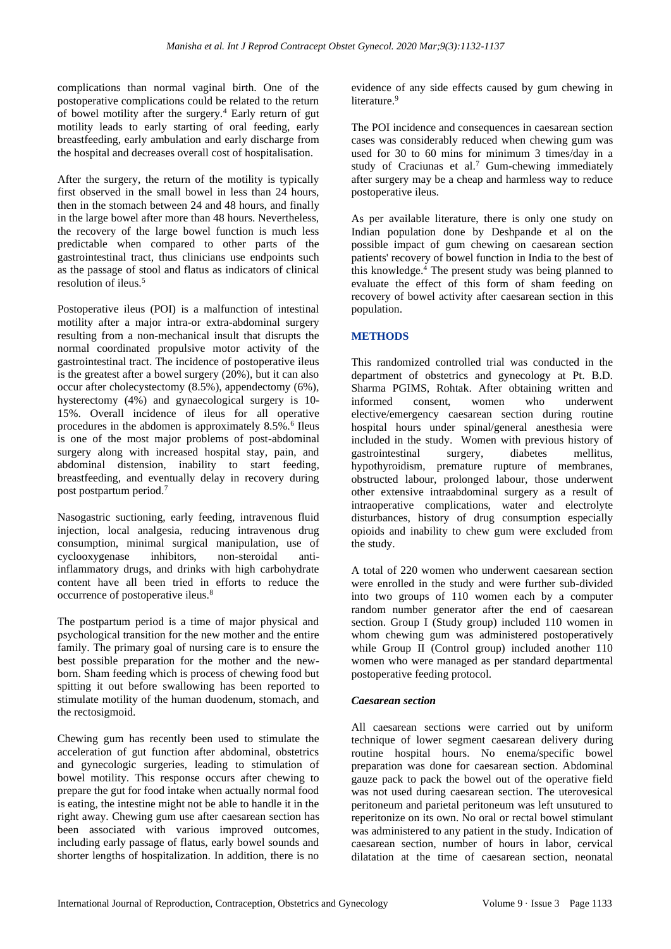complications than normal vaginal birth. One of the postoperative complications could be related to the return of bowel motility after the surgery.<sup>4</sup> Early return of gut motility leads to early starting of oral feeding, early breastfeeding, early ambulation and early discharge from the hospital and decreases overall cost of hospitalisation.

After the surgery, the return of the motility is typically first observed in the small bowel in less than 24 hours, then in the stomach between 24 and 48 hours, and finally in the large bowel after more than 48 hours. Nevertheless, the recovery of the large bowel function is much less predictable when compared to other parts of the gastrointestinal tract, thus clinicians use endpoints such as the passage of stool and flatus as indicators of clinical resolution of ileus.<sup>5</sup>

Postoperative ileus (POI) is a malfunction of intestinal motility after a major intra-or extra-abdominal surgery resulting from a non-mechanical insult that disrupts the normal coordinated propulsive motor activity of the gastrointestinal tract. The incidence of postoperative ileus is the greatest after a bowel surgery (20%), but it can also occur after cholecystectomy (8.5%), appendectomy (6%), hysterectomy (4%) and gynaecological surgery is 10- 15%. Overall incidence of ileus for all operative procedures in the abdomen is approximately 8.5%.<sup>6</sup> Ileus is one of the most major problems of post-abdominal surgery along with increased hospital stay, pain, and abdominal distension, inability to start feeding, breastfeeding, and eventually delay in recovery during post postpartum period.<sup>7</sup>

Nasogastric suctioning, early feeding, intravenous fluid injection, local analgesia, reducing intravenous drug consumption, minimal surgical manipulation, use of cyclooxygenase inhibitors, non-steroidal antiinflammatory drugs, and drinks with high carbohydrate content have all been tried in efforts to reduce the occurrence of postoperative ileus.<sup>8</sup>

The postpartum period is a time of major physical and psychological transition for the new mother and the entire family. The primary goal of nursing care is to ensure the best possible preparation for the mother and the newborn. Sham feeding which is process of chewing food but spitting it out before swallowing has been reported to stimulate motility of the human duodenum, stomach, and the rectosigmoid.

Chewing gum has recently been used to stimulate the acceleration of gut function after abdominal, obstetrics and gynecologic surgeries, leading to stimulation of bowel motility. This response occurs after chewing to prepare the gut for food intake when actually normal food is eating, the intestine might not be able to handle it in the right away. Chewing gum use after caesarean section has been associated with various improved outcomes, including early passage of flatus, early bowel sounds and shorter lengths of hospitalization. In addition, there is no evidence of any side effects caused by gum chewing in literature.<sup>9</sup>

The POI incidence and consequences in caesarean section cases was considerably reduced when chewing gum was used for 30 to 60 mins for minimum 3 times/day in a study of Craciunas et al.<sup>7</sup> Gum-chewing immediately after surgery may be a cheap and harmless way to reduce postoperative ileus.

As per available literature, there is only one study on Indian population done by Deshpande et al on the possible impact of gum chewing on caesarean section patients' recovery of bowel function in India to the best of this knowledge.<sup>4</sup> The present study was being planned to evaluate the effect of this form of sham feeding on recovery of bowel activity after caesarean section in this population.

## **METHODS**

This randomized controlled trial was conducted in the department of obstetrics and gynecology at Pt. B.D. Sharma PGIMS, Rohtak. After obtaining written and informed consent, women who underwent elective/emergency caesarean section during routine hospital hours under spinal/general anesthesia were included in the study. Women with previous history of gastrointestinal surgery, diabetes mellitus, hypothyroidism, premature rupture of membranes, obstructed labour, prolonged labour, those underwent other extensive intraabdominal surgery as a result of intraoperative complications, water and electrolyte disturbances, history of drug consumption especially opioids and inability to chew gum were excluded from the study.

A total of 220 women who underwent caesarean section were enrolled in the study and were further sub-divided into two groups of 110 women each by a computer random number generator after the end of caesarean section. Group I (Study group) included 110 women in whom chewing gum was administered postoperatively while Group II (Control group) included another 110 women who were managed as per standard departmental postoperative feeding protocol.

## *Caesarean section*

All caesarean sections were carried out by uniform technique of lower segment caesarean delivery during routine hospital hours. No enema/specific bowel preparation was done for caesarean section. Abdominal gauze pack to pack the bowel out of the operative field was not used during caesarean section. The uterovesical peritoneum and parietal peritoneum was left unsutured to reperitonize on its own. No oral or rectal bowel stimulant was administered to any patient in the study. Indication of caesarean section, number of hours in labor, cervical dilatation at the time of caesarean section, neonatal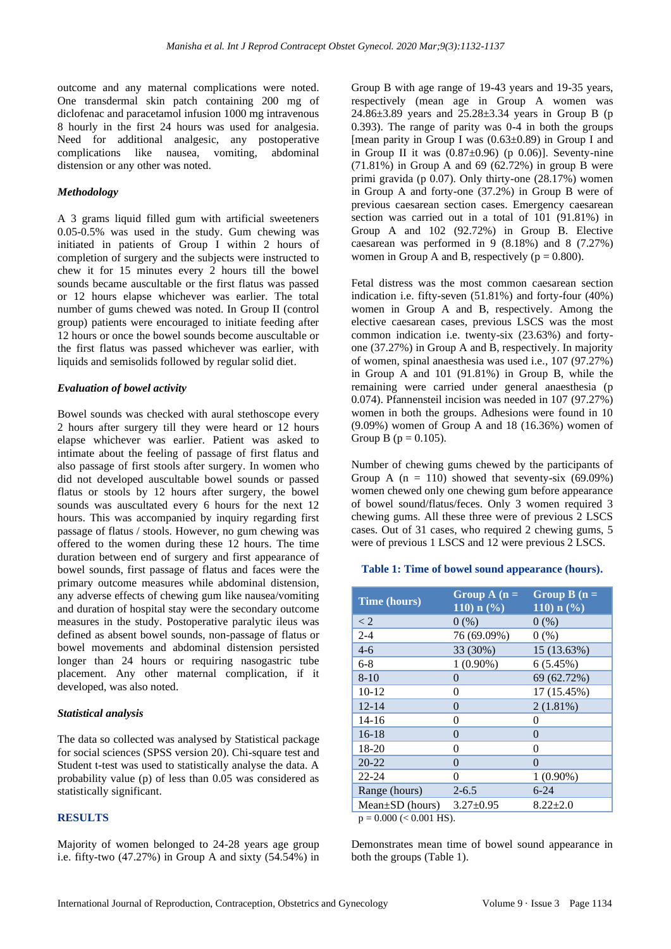outcome and any maternal complications were noted. One transdermal skin patch containing 200 mg of diclofenac and paracetamol infusion 1000 mg intravenous 8 hourly in the first 24 hours was used for analgesia. Need for additional analgesic, any postoperative complications like nausea, vomiting, abdominal distension or any other was noted.

#### *Methodology*

A 3 grams liquid filled gum with artificial sweeteners 0.05-0.5% was used in the study. Gum chewing was initiated in patients of Group I within 2 hours of completion of surgery and the subjects were instructed to chew it for 15 minutes every 2 hours till the bowel sounds became auscultable or the first flatus was passed or 12 hours elapse whichever was earlier. The total number of gums chewed was noted. In Group II (control group) patients were encouraged to initiate feeding after 12 hours or once the bowel sounds become auscultable or the first flatus was passed whichever was earlier, with liquids and semisolids followed by regular solid diet.

#### *Evaluation of bowel activity*

Bowel sounds was checked with aural stethoscope every 2 hours after surgery till they were heard or 12 hours elapse whichever was earlier. Patient was asked to intimate about the feeling of passage of first flatus and also passage of first stools after surgery. In women who did not developed auscultable bowel sounds or passed flatus or stools by 12 hours after surgery, the bowel sounds was auscultated every 6 hours for the next 12 hours. This was accompanied by inquiry regarding first passage of flatus / stools. However, no gum chewing was offered to the women during these 12 hours. The time duration between end of surgery and first appearance of bowel sounds, first passage of flatus and faces were the primary outcome measures while abdominal distension, any adverse effects of chewing gum like nausea/vomiting and duration of hospital stay were the secondary outcome measures in the study. Postoperative paralytic ileus was defined as absent bowel sounds, non-passage of flatus or bowel movements and abdominal distension persisted longer than 24 hours or requiring nasogastric tube placement. Any other maternal complication, if it developed, was also noted.

#### *Statistical analysis*

The data so collected was analysed by Statistical package for social sciences (SPSS version 20). Chi-square test and Student t-test was used to statistically analyse the data. A probability value (p) of less than 0.05 was considered as statistically significant.

### **RESULTS**

Majority of women belonged to 24-28 years age group i.e. fifty-two (47.27%) in Group A and sixty (54.54%) in Group B with age range of 19-43 years and 19-35 years, respectively (mean age in Group A women was 24.86±3.89 years and 25.28±3.34 years in Group B (p 0.393). The range of parity was 0-4 in both the groups [mean parity in Group I was  $(0.63\pm0.89)$  in Group I and in Group II it was  $(0.87\pm0.96)$  (p 0.06)]. Seventy-nine  $(71.81\%)$  in Group A and 69 (62.72%) in group B were primi gravida (p 0.07). Only thirty-one (28.17%) women in Group A and forty-one (37.2%) in Group B were of previous caesarean section cases. Emergency caesarean section was carried out in a total of 101 (91.81%) in Group A and 102 (92.72%) in Group B. Elective caesarean was performed in 9 (8.18%) and 8 (7.27%) women in Group A and B, respectively ( $p = 0.800$ ).

Fetal distress was the most common caesarean section indication i.e. fifty-seven (51.81%) and forty-four (40%) women in Group A and B, respectively. Among the elective caesarean cases, previous LSCS was the most common indication i.e. twenty-six (23.63%) and fortyone (37.27%) in Group A and B, respectively. In majority of women, spinal anaesthesia was used i.e., 107 (97.27%) in Group A and 101 (91.81%) in Group B, while the remaining were carried under general anaesthesia (p 0.074). Pfannensteil incision was needed in 107 (97.27%) women in both the groups. Adhesions were found in 10 (9.09%) women of Group A and 18 (16.36%) women of Group B ( $p = 0.105$ ).

Number of chewing gums chewed by the participants of Group A  $(n = 110)$  showed that seventy-six (69.09%) women chewed only one chewing gum before appearance of bowel sound/flatus/feces. Only 3 women required 3 chewing gums. All these three were of previous 2 LSCS cases. Out of 31 cases, who required 2 chewing gums, 5 were of previous 1 LSCS and 12 were previous 2 LSCS.

#### **Table 1: Time of bowel sound appearance (hours).**

| <b>Time (hours)</b>   | Group $A(n =$<br>110) $n$ (%) | Group $B(n =$<br>110) $n$ (%) |
|-----------------------|-------------------------------|-------------------------------|
| $\lt 2$               | 0(%)                          | 0(%)                          |
| $2 - 4$               | 76 (69.09%)                   | 0(%)                          |
| $4-6$                 | 33 (30%)                      | 15 (13.63%)                   |
| 6-8                   | $1(0.90\%)$                   | 6(5.45%)                      |
| $8-10$                | 0                             | 69 (62.72%)                   |
| $10-12$               | 0                             | 17 (15.45%)                   |
| $12 - 14$             | 0                             | $2(1.81\%)$                   |
| $14 - 16$             | 0                             | 0                             |
| $16-18$               | 0                             | $\Omega$                      |
| 18-20                 | 0                             | $\theta$                      |
| $20 - 22$             | 0                             | 0                             |
| $22 - 24$             | 0                             | $1(0.90\%)$                   |
| Range (hours)         | $2 - 6.5$                     | $6 - 24$                      |
| $Mean \pm SD$ (hours) | $3.27 + 0.95$                 | $8.22 + 2.0$                  |

 $p = 0.000 \leq 0.001$  HS).

Demonstrates mean time of bowel sound appearance in both the groups (Table 1).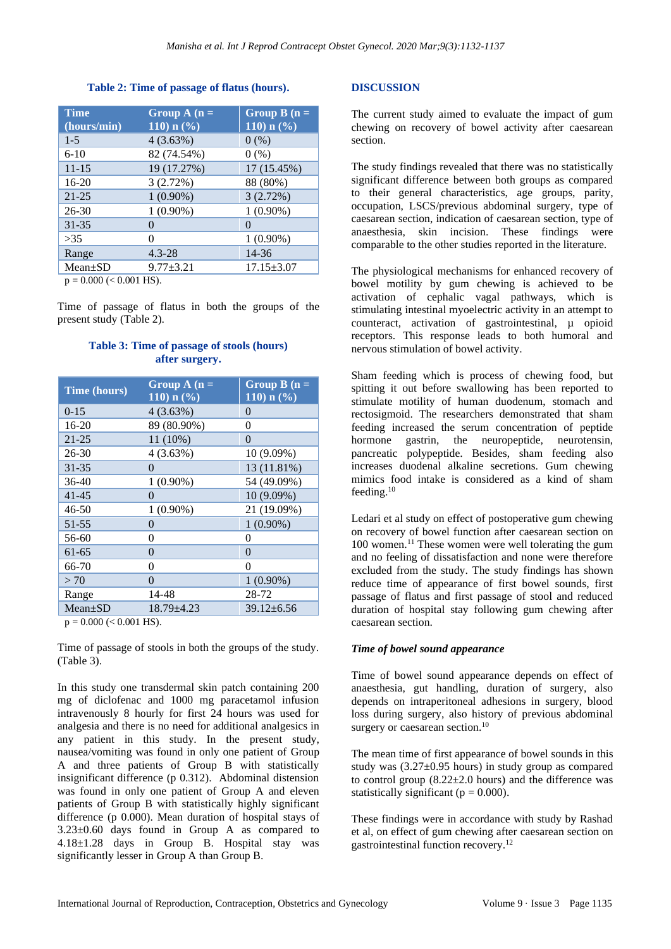#### **Table 2: Time of passage of flatus (hours).**

| <b>Time</b><br>(hours/min) | Group $A(n =$<br>110) $n$ (%) | Group $B(n =$<br>110) $n$ (%) |
|----------------------------|-------------------------------|-------------------------------|
| $1 - 5$                    | 4(3.63%)                      | 0(%)                          |
| $6-10$                     | 82 (74.54%)                   | 0(%)                          |
| $11 - 15$                  | 19 (17.27%)                   | 17 (15.45%)                   |
| $16-20$                    | 3(2.72%)                      | 88 (80%)                      |
| $21 - 25$                  | $1(0.90\%)$                   | 3(2.72%)                      |
| $26 - 30$                  | $1(0.90\%)$                   | $1(0.90\%)$                   |
| $31 - 35$                  | 0                             | $\Omega$                      |
| >35                        | 0                             | $1(0.90\%)$                   |
| Range                      | $4.3 - 28$                    | 14-36                         |
| $Mean \pm SD$              | $9.77 + 3.21$                 | $17.15 \pm 3.07$              |

 $p = 0.000 \leq 0.001$  HS).

Time of passage of flatus in both the groups of the present study (Table 2).

## **Table 3: Time of passage of stools (hours) after surgery.**

| <b>Time (hours)</b> | Group $A(n =$<br>$110$ ) n $(\sqrt[6]{\frac{1}{2}})$ | Group $B(n =$<br>$110$ ) n $(\sqrt[6]{6})$ |
|---------------------|------------------------------------------------------|--------------------------------------------|
| $0-15$              | 4(3.63%)                                             | $\Omega$                                   |
| $16 - 20$           | 89 (80.90%)                                          | 0                                          |
| 21-25               | 11 (10%)                                             | 0                                          |
| $26 - 30$           | 4(3.63%)                                             | 10 (9.09%)                                 |
| $31 - 35$           | 0                                                    | 13 (11.81%)                                |
| 36-40               | $1(0.90\%)$                                          | 54 (49.09%)                                |
| $41 - 45$           | $\Omega$                                             | 10 (9.09%)                                 |
| 46-50               | $1(0.90\%)$                                          | 21 (19.09%)                                |
| 51-55               | 0                                                    | $1(0.90\%)$                                |
| 56-60               | 0                                                    | 0                                          |
| 61-65               | $\theta$                                             | $\overline{0}$                             |
| 66-70               | 0                                                    | 0                                          |
| >70                 | 0                                                    | $1(0.90\%)$                                |
| Range               | 14-48                                                | 28-72                                      |
| $Mean \pm SD$       | $18.79 \pm 4.23$                                     | $39.12 \pm 6.56$                           |

 $p = 0.000 \, \text{(} < 0.001 \, \text{HS})$ .

Time of passage of stools in both the groups of the study. (Table 3).

In this study one transdermal skin patch containing 200 mg of diclofenac and 1000 mg paracetamol infusion intravenously 8 hourly for first 24 hours was used for analgesia and there is no need for additional analgesics in any patient in this study. In the present study, nausea/vomiting was found in only one patient of Group A and three patients of Group B with statistically insignificant difference (p 0.312). Abdominal distension was found in only one patient of Group A and eleven patients of Group B with statistically highly significant difference (p 0.000). Mean duration of hospital stays of 3.23±0.60 days found in Group A as compared to 4.18±1.28 days in Group B. Hospital stay was significantly lesser in Group A than Group B.

## **DISCUSSION**

The current study aimed to evaluate the impact of gum chewing on recovery of bowel activity after caesarean section.

The study findings revealed that there was no statistically significant difference between both groups as compared to their general characteristics, age groups, parity, occupation, LSCS/previous abdominal surgery, type of caesarean section, indication of caesarean section, type of anaesthesia, skin incision. These findings were comparable to the other studies reported in the literature.

The physiological mechanisms for enhanced recovery of bowel motility by gum chewing is achieved to be activation of cephalic vagal pathways, which is stimulating intestinal myoelectric activity in an attempt to counteract, activation of gastrointestinal, µ opioid receptors. This response leads to both humoral and nervous stimulation of bowel activity.

Sham feeding which is process of chewing food, but spitting it out before swallowing has been reported to stimulate motility of human duodenum, stomach and rectosigmoid. The researchers demonstrated that sham feeding increased the serum concentration of peptide hormone gastrin, the neuropeptide, neurotensin, pancreatic polypeptide. Besides, sham feeding also increases duodenal alkaline secretions. Gum chewing mimics food intake is considered as a kind of sham feeding.<sup>10</sup>

Ledari et al study on effect of postoperative gum chewing on recovery of bowel function after caesarean section on 100 women.<sup>11</sup> These women were well tolerating the gum and no feeling of dissatisfaction and none were therefore excluded from the study. The study findings has shown reduce time of appearance of first bowel sounds, first passage of flatus and first passage of stool and reduced duration of hospital stay following gum chewing after caesarean section.

## *Time of bowel sound appearance*

Time of bowel sound appearance depends on effect of anaesthesia, gut handling, duration of surgery, also depends on intraperitoneal adhesions in surgery, blood loss during surgery, also history of previous abdominal surgery or caesarean section.<sup>10</sup>

The mean time of first appearance of bowel sounds in this study was (3.27±0.95 hours) in study group as compared to control group  $(8.22 \pm 2.0 \text{ hours})$  and the difference was statistically significant ( $p = 0.000$ ).

These findings were in accordance with study by Rashad et al, on effect of gum chewing after caesarean section on gastrointestinal function recovery.12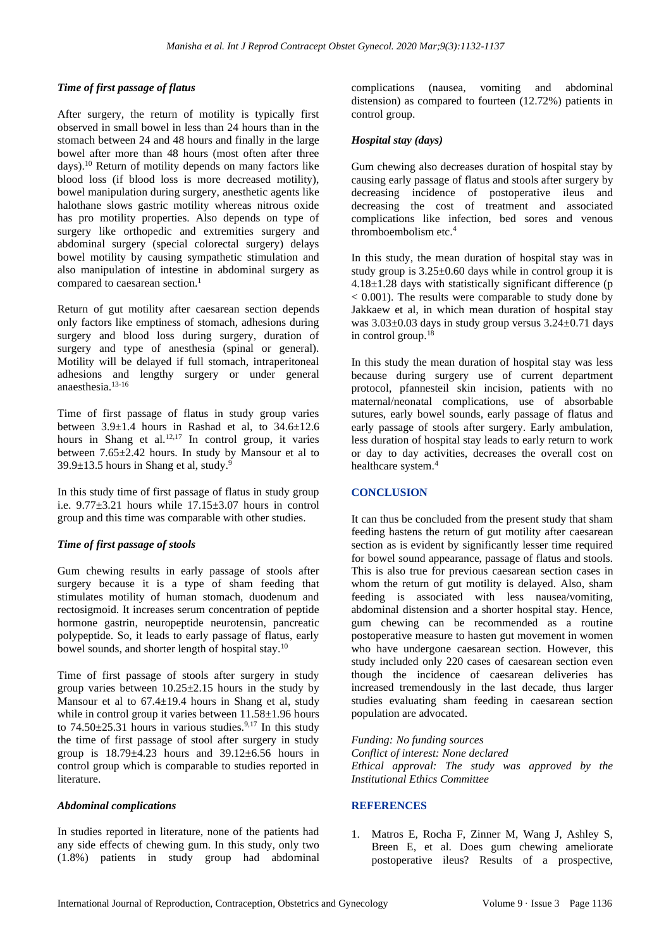## *Time of first passage of flatus*

After surgery, the return of motility is typically first observed in small bowel in less than 24 hours than in the stomach between 24 and 48 hours and finally in the large bowel after more than 48 hours (most often after three days).<sup>10</sup> Return of motility depends on many factors like blood loss (if blood loss is more decreased motility), bowel manipulation during surgery, anesthetic agents like halothane slows gastric motility whereas nitrous oxide has pro motility properties. Also depends on type of surgery like orthopedic and extremities surgery and abdominal surgery (special colorectal surgery) delays bowel motility by causing sympathetic stimulation and also manipulation of intestine in abdominal surgery as compared to caesarean section. $<sup>1</sup>$ </sup>

Return of gut motility after caesarean section depends only factors like emptiness of stomach, adhesions during surgery and blood loss during surgery, duration of surgery and type of anesthesia (spinal or general). Motility will be delayed if full stomach, intraperitoneal adhesions and lengthy surgery or under general anaesthesia.13-16

Time of first passage of flatus in study group varies between  $3.9\pm1.4$  hours in Rashad et al, to  $34.6\pm12.6$ hours in Shang et al.<sup>12,17</sup> In control group, it varies between 7.65±2.42 hours. In study by Mansour et al to  $39.9\pm13.5$  hours in Shang et al, study.<sup>9</sup>

In this study time of first passage of flatus in study group i.e.  $9.77\pm3.21$  hours while  $17.15\pm3.07$  hours in control group and this time was comparable with other studies.

## *Time of first passage of stools*

Gum chewing results in early passage of stools after surgery because it is a type of sham feeding that stimulates motility of human stomach, duodenum and rectosigmoid. It increases serum concentration of peptide hormone gastrin, neuropeptide neurotensin, pancreatic polypeptide. So, it leads to early passage of flatus, early bowel sounds, and shorter length of hospital stay.<sup>10</sup>

Time of first passage of stools after surgery in study group varies between  $10.25 \pm 2.15$  hours in the study by Mansour et al to  $67.4 \pm 19.4$  hours in Shang et al, study while in control group it varies between  $11.58\pm1.96$  hours to  $74.50\pm25.31$  hours in various studies.<sup>9,17</sup> In this study the time of first passage of stool after surgery in study group is  $18.79 \pm 4.23$  hours and  $39.12 \pm 6.56$  hours in control group which is comparable to studies reported in literature.

#### *Abdominal complications*

In studies reported in literature, none of the patients had any side effects of chewing gum. In this study, only two (1.8%) patients in study group had abdominal complications (nausea, vomiting and abdominal distension) as compared to fourteen (12.72%) patients in control group.

## *Hospital stay (days)*

Gum chewing also decreases duration of hospital stay by causing early passage of flatus and stools after surgery by decreasing incidence of postoperative ileus and decreasing the cost of treatment and associated complications like infection, bed sores and venous thromboembolism etc.<sup>4</sup>

In this study, the mean duration of hospital stay was in study group is  $3.25 \pm 0.60$  days while in control group it is  $4.18 \pm 1.28$  days with statistically significant difference (p  $< 0.001$ ). The results were comparable to study done by Jakkaew et al, in which mean duration of hospital stay was 3.03±0.03 days in study group versus 3.24±0.71 days in control group.<sup>18</sup>

In this study the mean duration of hospital stay was less because during surgery use of current department protocol, pfannesteil skin incision, patients with no maternal/neonatal complications, use of absorbable sutures, early bowel sounds, early passage of flatus and early passage of stools after surgery. Early ambulation, less duration of hospital stay leads to early return to work or day to day activities, decreases the overall cost on healthcare system.<sup>4</sup>

## **CONCLUSION**

It can thus be concluded from the present study that sham feeding hastens the return of gut motility after caesarean section as is evident by significantly lesser time required for bowel sound appearance, passage of flatus and stools. This is also true for previous caesarean section cases in whom the return of gut motility is delayed. Also, sham feeding is associated with less nausea/vomiting, abdominal distension and a shorter hospital stay. Hence, gum chewing can be recommended as a routine postoperative measure to hasten gut movement in women who have undergone caesarean section. However, this study included only 220 cases of caesarean section even though the incidence of caesarean deliveries has increased tremendously in the last decade, thus larger studies evaluating sham feeding in caesarean section population are advocated.

*Funding: No funding sources Conflict of interest: None declared Ethical approval: The study was approved by the Institutional Ethics Committee*

## **REFERENCES**

1. Matros E, Rocha F, Zinner M, Wang J, Ashley S, Breen E, et al. Does gum chewing ameliorate postoperative ileus? Results of a prospective,